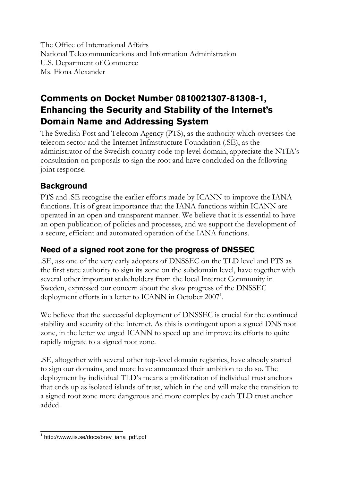The Office of International Affairs National Telecommunications and Information Administration U.S. Department of Commerce Ms. Fiona Alexander

# **Comments on Docket Number 0810021307-81308-1, Enhancing the Security and Stability of the Internet's Domain Name and Addressing System**

The Swedish Post and Telecom Agency (PTS), as the authority which oversees the telecom sector and the Internet Infrastructure Foundation (.SE), as the administrator of the Swedish country code top level domain, appreciate the NTIA's consultation on proposals to sign the root and have concluded on the following joint response.

### **Background**

PTS and .SE recognise the earlier efforts made by ICANN to improve the IANA functions. It is of great importance that the IANA functions within ICANN are operated in an open and transparent manner. We believe that it is essential to have an open publication of policies and processes, and we support the development of a secure, efficient and automated operation of the IANA functions.

## **Need of a signed root zone for the progress of DNSSEC**

.SE, ass one of the very early adopters of DNSSEC on the TLD level and PTS as the first state authority to sign its zone on the subdomain level, have together with several other important stakeholders from the local Internet Community in Sweden, expressed our concern about the slow progress of the DNSSEC deployment efforts in a letter to ICANN in October 2007<sup>1</sup>.

We believe that the successful deployment of DNSSEC is crucial for the continued stability and security of the Internet. As this is contingent upon a signed DNS root zone, in the letter we urged ICANN to speed up and improve its efforts to quite rapidly migrate to a signed root zone.

.SE, altogether with several other top-level domain registries, have already started to sign our domains, and more have announced their ambition to do so. The deployment by individual TLD's means a proliferation of individual trust anchors that ends up as isolated islands of trust, which in the end will make the transition to a signed root zone more dangerous and more complex by each TLD trust anchor added.

 1 http://www.iis.se/docs/brev\_iana\_pdf.pdf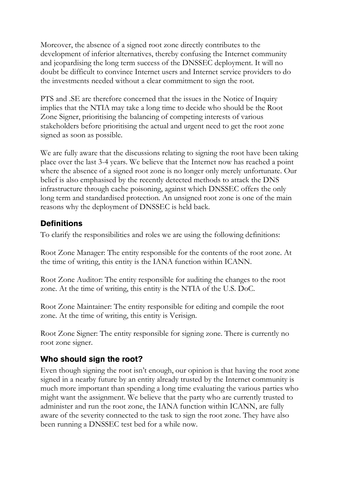Moreover, the absence of a signed root zone directly contributes to the development of inferior alternatives, thereby confusing the Internet community and jeopardising the long term success of the DNSSEC deployment. It will no doubt be difficult to convince Internet users and Internet service providers to do the investments needed without a clear commitment to sign the root.

PTS and .SE are therefore concerned that the issues in the Notice of Inquiry implies that the NTIA may take a long time to decide who should be the Root Zone Signer, prioritising the balancing of competing interests of various stakeholders before prioritising the actual and urgent need to get the root zone signed as soon as possible.

We are fully aware that the discussions relating to signing the root have been taking place over the last 3-4 years. We believe that the Internet now has reached a point where the absence of a signed root zone is no longer only merely unfortunate. Our belief is also emphasised by the recently detected methods to attack the DNS infrastructure through cache poisoning, against which DNSSEC offers the only long term and standardised protection. An unsigned root zone is one of the main reasons why the deployment of DNSSEC is held back.

### **Definitions**

To clarify the responsibilities and roles we are using the following definitions:

Root Zone Manager: The entity responsible for the contents of the root zone. At the time of writing, this entity is the IANA function within ICANN.

Root Zone Auditor: The entity responsible for auditing the changes to the root zone. At the time of writing, this entity is the NTIA of the U.S. DoC.

Root Zone Maintainer: The entity responsible for editing and compile the root zone. At the time of writing, this entity is Verisign.

Root Zone Signer: The entity responsible for signing zone. There is currently no root zone signer.

### **Who should sign the root?**

Even though signing the root isn't enough, our opinion is that having the root zone signed in a nearby future by an entity already trusted by the Internet community is much more important than spending a long time evaluating the various parties who might want the assignment. We believe that the party who are currently trusted to administer and run the root zone, the IANA function within ICANN, are fully aware of the severity connected to the task to sign the root zone. They have also been running a DNSSEC test bed for a while now.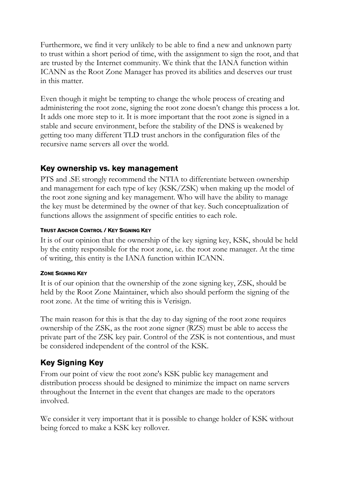Furthermore, we find it very unlikely to be able to find a new and unknown party to trust within a short period of time, with the assignment to sign the root, and that are trusted by the Internet community. We think that the IANA function within ICANN as the Root Zone Manager has proved its abilities and deserves our trust in this matter.

Even though it might be tempting to change the whole process of creating and administering the root zone, signing the root zone doesn't change this process a lot. It adds one more step to it. It is more important that the root zone is signed in a stable and secure environment, before the stability of the DNS is weakened by getting too many different TLD trust anchors in the configuration files of the recursive name servers all over the world.

#### **Key ownership vs. key management**

PTS and .SE strongly recommend the NTIA to differentiate between ownership and management for each type of key (KSK/ZSK) when making up the model of the root zone signing and key management. Who will have the ability to manage the key must be determined by the owner of that key. Such conceptualization of functions allows the assignment of specific entities to each role.

#### **TRUST ANCHOR CONTROL / KEY SIGNING KEY**

It is of our opinion that the ownership of the key signing key, KSK, should be held by the entity responsible for the root zone, i.e. the root zone manager. At the time of writing, this entity is the IANA function within ICANN.

#### **ZONE SIGNING KEY**

It is of our opinion that the ownership of the zone signing key, ZSK, should be held by the Root Zone Maintainer, which also should perform the signing of the root zone. At the time of writing this is Verisign.

The main reason for this is that the day to day signing of the root zone requires ownership of the ZSK, as the root zone signer (RZS) must be able to access the private part of the ZSK key pair. Control of the ZSK is not contentious, and must be considered independent of the control of the KSK.

## **Key Signing Key**

From our point of view the root zone's KSK public key management and distribution process should be designed to minimize the impact on name servers throughout the Internet in the event that changes are made to the operators involved.

We consider it very important that it is possible to change holder of KSK without being forced to make a KSK key rollover.